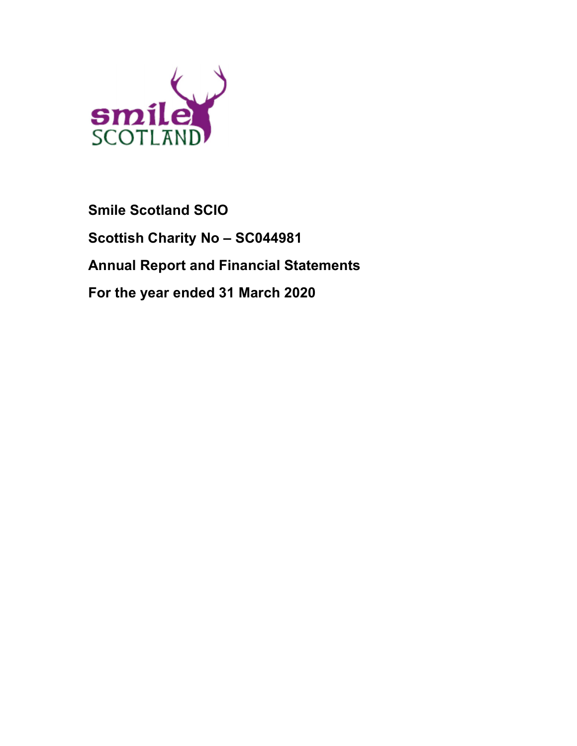

# Smile Scotland SCIO Scottish Charity No – SC044981 Annual Report and Financial Statements For the year ended 31 March 2020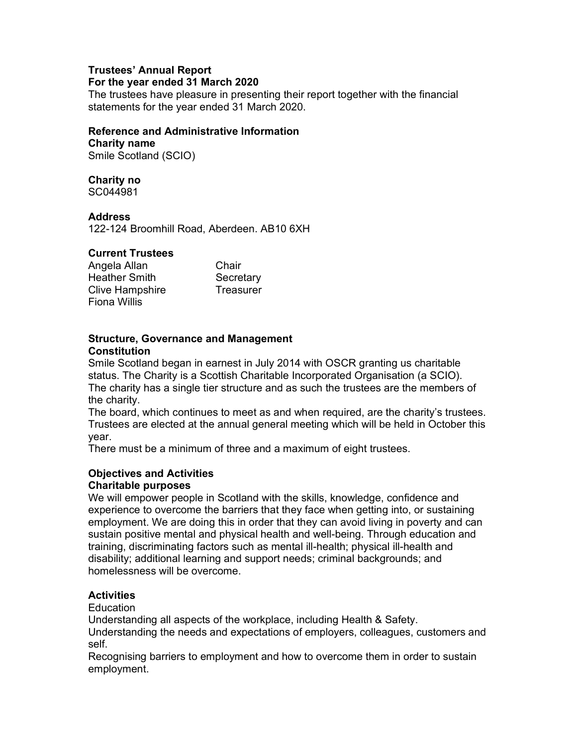# Trustees' Annual Report

# For the year ended 31 March 2020

The trustees have pleasure in presenting their report together with the financial statements for the year ended 31 March 2020.

# Reference and Administrative Information

Charity name Smile Scotland (SCIO)

# Charity no

SC044981

# Address

122-124 Broomhill Road, Aberdeen. AB10 6XH

# Current Trustees

| Angela Allan           | Chair     |
|------------------------|-----------|
| <b>Heather Smith</b>   | Secretary |
| <b>Clive Hampshire</b> | Treasurer |
| <b>Fiona Willis</b>    |           |

## Structure, Governance and Management **Constitution**

Smile Scotland began in earnest in July 2014 with OSCR granting us charitable status. The Charity is a Scottish Charitable Incorporated Organisation (a SCIO). The charity has a single tier structure and as such the trustees are the members of the charity.

The board, which continues to meet as and when required, are the charity's trustees. Trustees are elected at the annual general meeting which will be held in October this year.

There must be a minimum of three and a maximum of eight trustees.

# Objectives and Activities

# Charitable purposes

We will empower people in Scotland with the skills, knowledge, confidence and experience to overcome the barriers that they face when getting into, or sustaining employment. We are doing this in order that they can avoid living in poverty and can sustain positive mental and physical health and well-being. Through education and training, discriminating factors such as mental ill-health; physical ill-health and disability; additional learning and support needs; criminal backgrounds; and homelessness will be overcome.

# **Activities**

**Education** 

Understanding all aspects of the workplace, including Health & Safety.

Understanding the needs and expectations of employers, colleagues, customers and self.

Recognising barriers to employment and how to overcome them in order to sustain employment.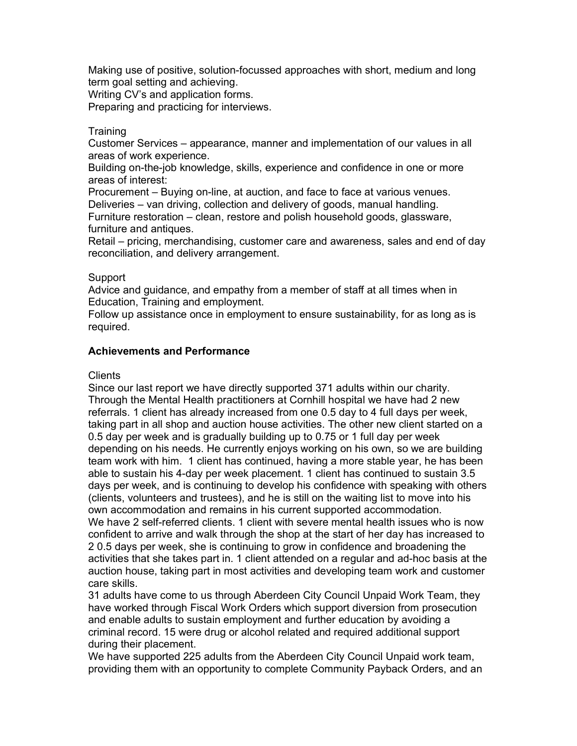Making use of positive, solution-focussed approaches with short, medium and long term goal setting and achieving.

Writing CV's and application forms.

Preparing and practicing for interviews.

## **Training**

Customer Services – appearance, manner and implementation of our values in all areas of work experience.

Building on-the-job knowledge, skills, experience and confidence in one or more areas of interest:

Procurement – Buying on-line, at auction, and face to face at various venues. Deliveries – van driving, collection and delivery of goods, manual handling.

Furniture restoration – clean, restore and polish household goods, glassware, furniture and antiques.

Retail – pricing, merchandising, customer care and awareness, sales and end of day reconciliation, and delivery arrangement.

#### Support

Advice and guidance, and empathy from a member of staff at all times when in Education, Training and employment.

Follow up assistance once in employment to ensure sustainability, for as long as is required.

#### Achievements and Performance

#### **Clients**

Since our last report we have directly supported 371 adults within our charity. Through the Mental Health practitioners at Cornhill hospital we have had 2 new referrals. 1 client has already increased from one 0.5 day to 4 full days per week, taking part in all shop and auction house activities. The other new client started on a 0.5 day per week and is gradually building up to 0.75 or 1 full day per week depending on his needs. He currently enjoys working on his own, so we are building team work with him. 1 client has continued, having a more stable year, he has been able to sustain his 4-day per week placement. 1 client has continued to sustain 3.5 days per week, and is continuing to develop his confidence with speaking with others (clients, volunteers and trustees), and he is still on the waiting list to move into his own accommodation and remains in his current supported accommodation. We have 2 self-referred clients. 1 client with severe mental health issues who is now confident to arrive and walk through the shop at the start of her day has increased to 2 0.5 days per week, she is continuing to grow in confidence and broadening the activities that she takes part in. 1 client attended on a regular and ad-hoc basis at the auction house, taking part in most activities and developing team work and customer care skills.

31 adults have come to us through Aberdeen City Council Unpaid Work Team, they have worked through Fiscal Work Orders which support diversion from prosecution and enable adults to sustain employment and further education by avoiding a criminal record. 15 were drug or alcohol related and required additional support during their placement.

We have supported 225 adults from the Aberdeen City Council Unpaid work team, providing them with an opportunity to complete Community Payback Orders, and an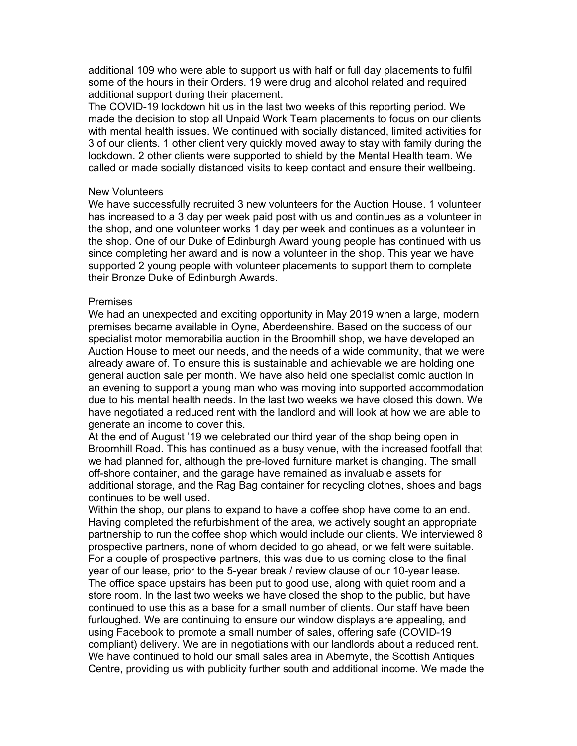additional 109 who were able to support us with half or full day placements to fulfil some of the hours in their Orders. 19 were drug and alcohol related and required additional support during their placement.

The COVID-19 lockdown hit us in the last two weeks of this reporting period. We made the decision to stop all Unpaid Work Team placements to focus on our clients with mental health issues. We continued with socially distanced, limited activities for 3 of our clients. 1 other client very quickly moved away to stay with family during the lockdown. 2 other clients were supported to shield by the Mental Health team. We called or made socially distanced visits to keep contact and ensure their wellbeing.

#### New Volunteers

We have successfully recruited 3 new volunteers for the Auction House. 1 volunteer has increased to a 3 day per week paid post with us and continues as a volunteer in the shop, and one volunteer works 1 day per week and continues as a volunteer in the shop. One of our Duke of Edinburgh Award young people has continued with us since completing her award and is now a volunteer in the shop. This year we have supported 2 young people with volunteer placements to support them to complete their Bronze Duke of Edinburgh Awards.

#### Premises

We had an unexpected and exciting opportunity in May 2019 when a large, modern premises became available in Oyne, Aberdeenshire. Based on the success of our specialist motor memorabilia auction in the Broomhill shop, we have developed an Auction House to meet our needs, and the needs of a wide community, that we were already aware of. To ensure this is sustainable and achievable we are holding one general auction sale per month. We have also held one specialist comic auction in an evening to support a young man who was moving into supported accommodation due to his mental health needs. In the last two weeks we have closed this down. We have negotiated a reduced rent with the landlord and will look at how we are able to generate an income to cover this.

At the end of August '19 we celebrated our third year of the shop being open in Broomhill Road. This has continued as a busy venue, with the increased footfall that we had planned for, although the pre-loved furniture market is changing. The small off-shore container, and the garage have remained as invaluable assets for additional storage, and the Rag Bag container for recycling clothes, shoes and bags continues to be well used.

Within the shop, our plans to expand to have a coffee shop have come to an end. Having completed the refurbishment of the area, we actively sought an appropriate partnership to run the coffee shop which would include our clients. We interviewed 8 prospective partners, none of whom decided to go ahead, or we felt were suitable. For a couple of prospective partners, this was due to us coming close to the final year of our lease, prior to the 5-year break / review clause of our 10-year lease. The office space upstairs has been put to good use, along with quiet room and a store room. In the last two weeks we have closed the shop to the public, but have continued to use this as a base for a small number of clients. Our staff have been furloughed. We are continuing to ensure our window displays are appealing, and using Facebook to promote a small number of sales, offering safe (COVID-19 compliant) delivery. We are in negotiations with our landlords about a reduced rent. We have continued to hold our small sales area in Abernyte, the Scottish Antiques Centre, providing us with publicity further south and additional income. We made the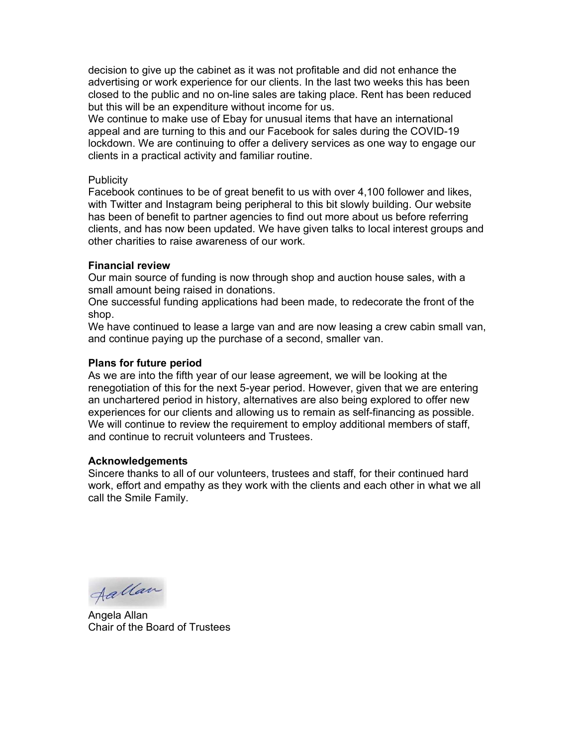decision to give up the cabinet as it was not profitable and did not enhance the advertising or work experience for our clients. In the last two weeks this has been closed to the public and no on-line sales are taking place. Rent has been reduced but this will be an expenditure without income for us.

We continue to make use of Ebay for unusual items that have an international appeal and are turning to this and our Facebook for sales during the COVID-19 lockdown. We are continuing to offer a delivery services as one way to engage our clients in a practical activity and familiar routine.

#### **Publicity**

Facebook continues to be of great benefit to us with over 4,100 follower and likes, with Twitter and Instagram being peripheral to this bit slowly building. Our website has been of benefit to partner agencies to find out more about us before referring clients, and has now been updated. We have given talks to local interest groups and other charities to raise awareness of our work.

#### Financial review

Our main source of funding is now through shop and auction house sales, with a small amount being raised in donations.

One successful funding applications had been made, to redecorate the front of the shop.

We have continued to lease a large van and are now leasing a crew cabin small van, and continue paying up the purchase of a second, smaller van.

#### Plans for future period

As we are into the fifth year of our lease agreement, we will be looking at the renegotiation of this for the next 5-year period. However, given that we are entering an unchartered period in history, alternatives are also being explored to offer new experiences for our clients and allowing us to remain as self-financing as possible. We will continue to review the requirement to employ additional members of staff, and continue to recruit volunteers and Trustees.

#### Acknowledgements

Sincere thanks to all of our volunteers, trustees and staff, for their continued hard work, effort and empathy as they work with the clients and each other in what we all call the Smile Family.

Aallan

Angela Allan Chair of the Board of Trustees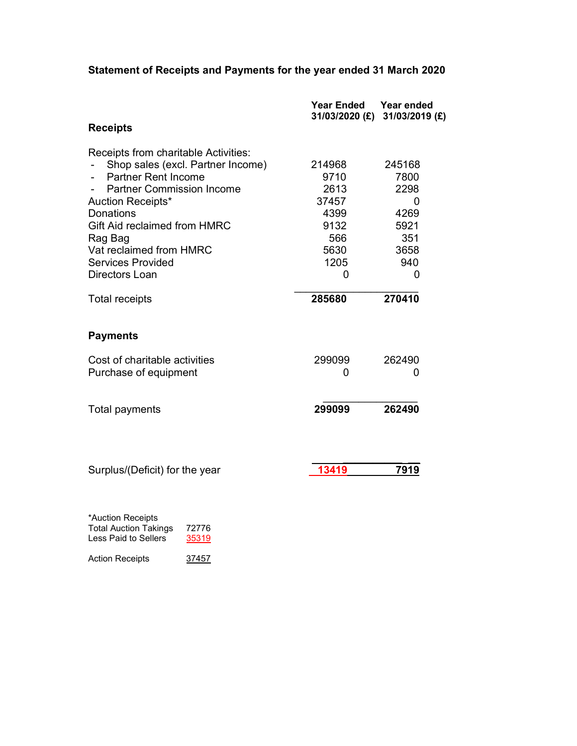# Statement of Receipts and Payments for the year ended 31 March 2020

|                                      | <b>Year Ended</b> | Year ended<br>31/03/2020 (£) 31/03/2019 (£) |
|--------------------------------------|-------------------|---------------------------------------------|
| <b>Receipts</b>                      |                   |                                             |
| Receipts from charitable Activities: |                   |                                             |
| Shop sales (excl. Partner Income)    | 214968            | 245168                                      |
| <b>Partner Rent Income</b>           | 9710              | 7800                                        |
| <b>Partner Commission Income</b>     | 2613              | 2298                                        |
| Auction Receipts*                    | 37457             | 0                                           |
| <b>Donations</b>                     | 4399              | 4269                                        |
| <b>Gift Aid reclaimed from HMRC</b>  | 9132              | 5921                                        |
| Rag Bag                              | 566               | 351                                         |
| Vat reclaimed from HMRC              | 5630              | 3658                                        |
| <b>Services Provided</b>             | 1205              | 940                                         |
| Directors Loan                       | 0                 | 0                                           |
| <b>Total receipts</b>                | 285680            | 270410                                      |
| <b>Payments</b>                      |                   |                                             |
| Cost of charitable activities        | 299099            | 262490                                      |
| Purchase of equipment                | 0                 | 0                                           |
|                                      | 299099            | 262490                                      |
| <b>Total payments</b>                |                   |                                             |
|                                      |                   |                                             |
| Surplus/(Deficit) for the year       | 13419             | 7919                                        |
|                                      |                   |                                             |
| *Auction Receipts                    |                   |                                             |

| <b>Total Auction Takings</b> | 72776 |
|------------------------------|-------|
| Less Paid to Sellers         | 35319 |
|                              |       |

Action Receipts 37457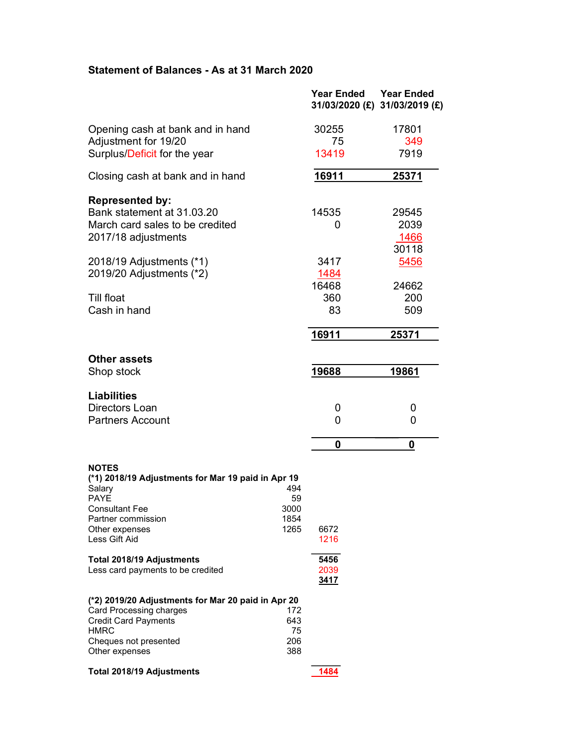# Statement of Balances - As at 31 March 2020

|                                                                                                                                                                                                              |    | <b>Year Ended</b>           | <b>Year Ended</b><br>31/03/2020 (£) 31/03/2019 (£) |
|--------------------------------------------------------------------------------------------------------------------------------------------------------------------------------------------------------------|----|-----------------------------|----------------------------------------------------|
| Opening cash at bank and in hand                                                                                                                                                                             |    | 30255                       | 17801                                              |
| Adjustment for 19/20                                                                                                                                                                                         |    | 75                          | 349                                                |
| Surplus/Deficit for the year                                                                                                                                                                                 |    | 13419                       | 7919                                               |
| Closing cash at bank and in hand                                                                                                                                                                             |    | 16911                       | 25371                                              |
| <b>Represented by:</b><br>Bank statement at 31.03.20<br>March card sales to be credited<br>2017/18 adjustments                                                                                               |    | 14535<br>0                  | 29545<br>2039<br>1466<br>30118                     |
| 2018/19 Adjustments (*1)<br>2019/20 Adjustments (*2)                                                                                                                                                         |    | 3417<br>1484                | 5456                                               |
|                                                                                                                                                                                                              |    | 16468                       | 24662                                              |
| <b>Till float</b><br>Cash in hand                                                                                                                                                                            |    | 360<br>83                   | 200<br>509                                         |
|                                                                                                                                                                                                              |    | 16911                       | 25371                                              |
| <b>Other assets</b><br>Shop stock                                                                                                                                                                            |    | 19688                       | 19861                                              |
| <b>Liabilities</b>                                                                                                                                                                                           |    |                             |                                                    |
| Directors Loan<br><b>Partners Account</b>                                                                                                                                                                    |    | 0<br>0                      | 0<br>0                                             |
|                                                                                                                                                                                                              |    | 0                           | 0                                                  |
| <b>NOTES</b><br>(*1) 2018/19 Adjustments for Mar 19 paid in Apr 19<br>494<br>Salary<br><b>PAYE</b><br>3000<br><b>Consultant Fee</b><br>1854<br>Partner commission<br>1265<br>Other expenses<br>Less Gift Aid | 59 | 6672<br>1216                |                                                    |
| Total 2018/19 Adjustments<br>Less card payments to be credited                                                                                                                                               |    | 5456<br>2039<br><u>3417</u> |                                                    |
| (*2) 2019/20 Adjustments for Mar 20 paid in Apr 20<br><b>Card Processing charges</b><br>172<br><b>Credit Card Payments</b><br>643<br><b>HMRC</b><br>Cheques not presented<br>206<br>Other expenses<br>388    | 75 |                             |                                                    |
| <b>Total 2018/19 Adjustments</b>                                                                                                                                                                             |    | 1484                        |                                                    |